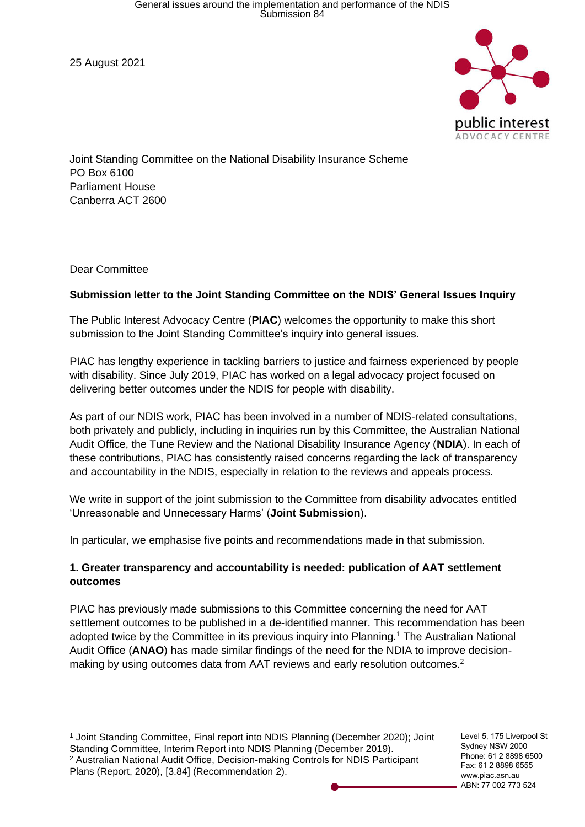25 August 2021



Joint Standing Committee on the National Disability Insurance Scheme PO Box 6100 Parliament House Canberra ACT 2600

Dear Committee

#### **Submission letter to the Joint Standing Committee on the NDIS' General Issues Inquiry**

The Public Interest Advocacy Centre (**PIAC**) welcomes the opportunity to make this short submission to the Joint Standing Committee's inquiry into general issues.

PIAC has lengthy experience in tackling barriers to justice and fairness experienced by people with disability. Since July 2019, PIAC has worked on a legal advocacy project focused on delivering better outcomes under the NDIS for people with disability.

As part of our NDIS work, PIAC has been involved in a number of NDIS-related consultations, both privately and publicly, including in inquiries run by this Committee, the Australian National Audit Office, the Tune Review and the National Disability Insurance Agency (**NDIA**). In each of these contributions, PIAC has consistently raised concerns regarding the lack of transparency and accountability in the NDIS, especially in relation to the reviews and appeals process.

We write in support of the joint submission to the Committee from disability advocates entitled 'Unreasonable and Unnecessary Harms' (**Joint Submission**).

In particular, we emphasise five points and recommendations made in that submission.

#### **1. Greater transparency and accountability is needed: publication of AAT settlement outcomes**

PIAC has previously made submissions to this Committee concerning the need for AAT settlement outcomes to be published in a de-identified manner. This recommendation has been adopted twice by the Committee in its previous inquiry into Planning.<sup>1</sup> The Australian National Audit Office (**ANAO**) has made similar findings of the need for the NDIA to improve decisionmaking by using outcomes data from AAT reviews and early resolution outcomes.<sup>2</sup>

<sup>1</sup> Joint Standing Committee, Final report into NDIS Planning (December 2020); Joint Standing Committee, Interim Report into NDIS Planning (December 2019). <sup>2</sup> Australian National Audit Office, Decision-making Controls for NDIS Participant Plans (Report, 2020), [3.84] (Recommendation 2).

Level 5, 175 Liverpool St Sydney NSW 2000 Phone: 61 2 8898 6500 Fax: 61 2 8898 6555 www.piac.asn.au ABN: 77 002 773 524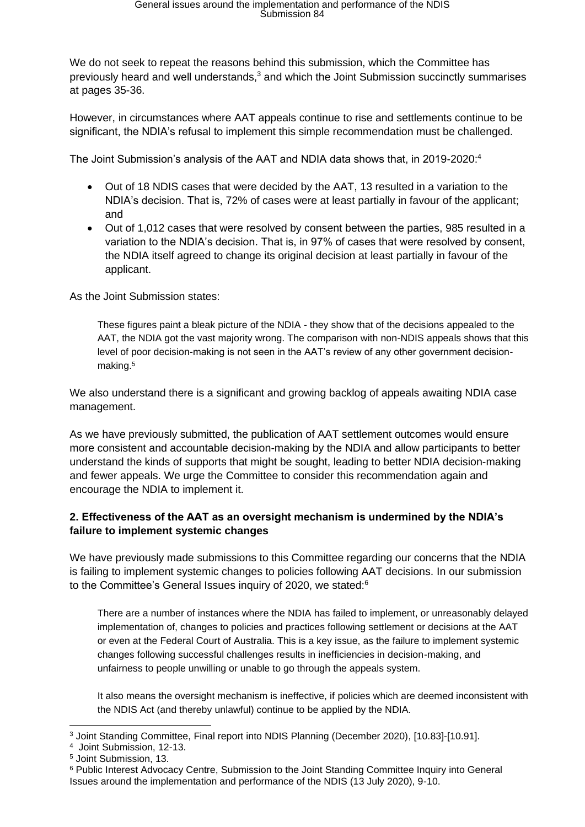We do not seek to repeat the reasons behind this submission, which the Committee has previously heard and well understands,<sup>3</sup> and which the Joint Submission succinctly summarises at pages 35-36.

However, in circumstances where AAT appeals continue to rise and settlements continue to be significant, the NDIA's refusal to implement this simple recommendation must be challenged.

The Joint Submission's analysis of the AAT and NDIA data shows that, in 2019-2020:<sup>4</sup>

- Out of 18 NDIS cases that were decided by the AAT, 13 resulted in a variation to the NDIA's decision. That is, 72% of cases were at least partially in favour of the applicant; and
- Out of 1,012 cases that were resolved by consent between the parties, 985 resulted in a variation to the NDIA's decision. That is, in 97% of cases that were resolved by consent, the NDIA itself agreed to change its original decision at least partially in favour of the applicant.

As the Joint Submission states:

These figures paint a bleak picture of the NDIA - they show that of the decisions appealed to the AAT, the NDIA got the vast majority wrong. The comparison with non-NDIS appeals shows that this level of poor decision-making is not seen in the AAT's review of any other government decisionmaking.<sup>5</sup>

We also understand there is a significant and growing backlog of appeals awaiting NDIA case management.

As we have previously submitted, the publication of AAT settlement outcomes would ensure more consistent and accountable decision-making by the NDIA and allow participants to better understand the kinds of supports that might be sought, leading to better NDIA decision-making and fewer appeals. We urge the Committee to consider this recommendation again and encourage the NDIA to implement it.

## **2. Effectiveness of the AAT as an oversight mechanism is undermined by the NDIA's failure to implement systemic changes**

We have previously made submissions to this Committee regarding our concerns that the NDIA is failing to implement systemic changes to policies following AAT decisions. In our submission to the Committee's General Issues inquiry of 2020, we stated:<sup>6</sup>

There are a number of instances where the NDIA has failed to implement, or unreasonably delayed implementation of, changes to policies and practices following settlement or decisions at the AAT or even at the Federal Court of Australia. This is a key issue, as the failure to implement systemic changes following successful challenges results in inefficiencies in decision-making, and unfairness to people unwilling or unable to go through the appeals system.

It also means the oversight mechanism is ineffective, if policies which are deemed inconsistent with the NDIS Act (and thereby unlawful) continue to be applied by the NDIA.

<sup>3</sup> Joint Standing Committee, Final report into NDIS Planning (December 2020), [10.83]-[10.91].

<sup>4</sup> Joint Submission, 12-13.

<sup>5</sup> Joint Submission, 13.

<sup>6</sup> Public Interest Advocacy Centre, Submission to the Joint Standing Committee Inquiry into General Issues around the implementation and performance of the NDIS (13 July 2020), 9-10.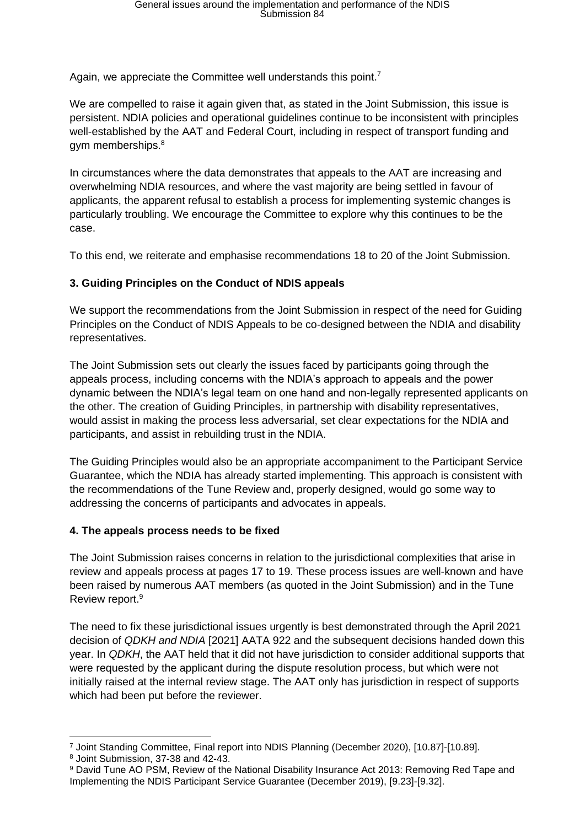Again, we appreciate the Committee well understands this point.<sup>7</sup>

We are compelled to raise it again given that, as stated in the Joint Submission, this issue is persistent. NDIA policies and operational guidelines continue to be inconsistent with principles well-established by the AAT and Federal Court, including in respect of transport funding and gym memberships.<sup>8</sup>

In circumstances where the data demonstrates that appeals to the AAT are increasing and overwhelming NDIA resources, and where the vast majority are being settled in favour of applicants, the apparent refusal to establish a process for implementing systemic changes is particularly troubling. We encourage the Committee to explore why this continues to be the case.

To this end, we reiterate and emphasise recommendations 18 to 20 of the Joint Submission.

## **3. Guiding Principles on the Conduct of NDIS appeals**

We support the recommendations from the Joint Submission in respect of the need for Guiding Principles on the Conduct of NDIS Appeals to be co-designed between the NDIA and disability representatives.

The Joint Submission sets out clearly the issues faced by participants going through the appeals process, including concerns with the NDIA's approach to appeals and the power dynamic between the NDIA's legal team on one hand and non-legally represented applicants on the other. The creation of Guiding Principles, in partnership with disability representatives, would assist in making the process less adversarial, set clear expectations for the NDIA and participants, and assist in rebuilding trust in the NDIA.

The Guiding Principles would also be an appropriate accompaniment to the Participant Service Guarantee, which the NDIA has already started implementing. This approach is consistent with the recommendations of the Tune Review and, properly designed, would go some way to addressing the concerns of participants and advocates in appeals.

## **4. The appeals process needs to be fixed**

The Joint Submission raises concerns in relation to the jurisdictional complexities that arise in review and appeals process at pages 17 to 19. These process issues are well-known and have been raised by numerous AAT members (as quoted in the Joint Submission) and in the Tune Review report.<sup>9</sup>

The need to fix these jurisdictional issues urgently is best demonstrated through the April 2021 decision of *QDKH and NDIA* [2021] AATA 922 and the subsequent decisions handed down this year. In *QDKH*, the AAT held that it did not have jurisdiction to consider additional supports that were requested by the applicant during the dispute resolution process, but which were not initially raised at the internal review stage. The AAT only has jurisdiction in respect of supports which had been put before the reviewer.

<sup>7</sup> Joint Standing Committee, Final report into NDIS Planning (December 2020), [10.87]-[10.89].

<sup>8</sup> Joint Submission, 37-38 and 42-43.

<sup>9</sup> David Tune AO PSM, Review of the National Disability Insurance Act 2013: Removing Red Tape and Implementing the NDIS Participant Service Guarantee (December 2019), [9.23]-[9.32].